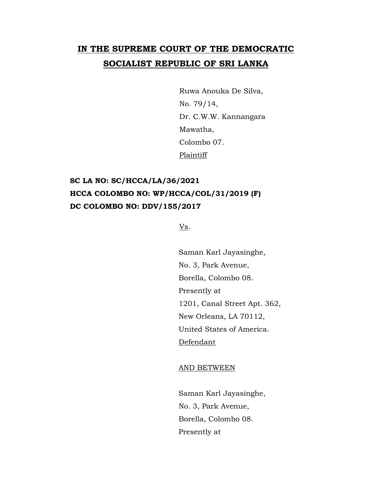# **IN THE SUPREME COURT OF THE DEMOCRATIC SOCIALIST REPUBLIC OF SRI LANKA**

Ruwa Anouka De Silva, No. 79/14, Dr. C.W.W. Kannangara Mawatha, Colombo 07. **Plaintiff** 

# **SC LA NO: SC/HCCA/LA/36/2021 HCCA COLOMBO NO: WP/HCCA/COL/31/2019 (F) DC COLOMBO NO: DDV/155/2017**

Vs.

Saman Karl Jayasinghe, No. 3, Park Avenue, Borella, Colombo 08. Presently at 1201, Canal Street Apt. 362, New Orleans, LA 70112, United States of America. Defendant

AND BETWEEN

Saman Karl Jayasinghe, No. 3, Park Avenue, Borella, Colombo 08. Presently at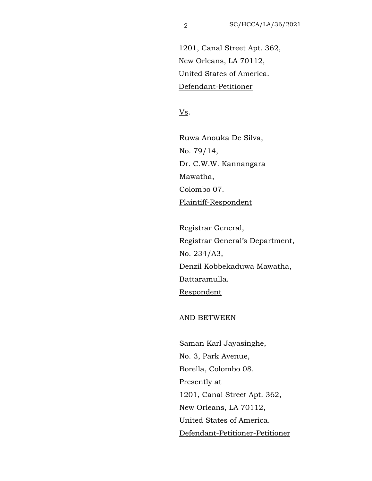1201, Canal Street Apt. 362, New Orleans, LA 70112, United States of America. Defendant-Petitioner

Vs.

Ruwa Anouka De Silva, No. 79/14, Dr. C.W.W. Kannangara Mawatha, Colombo 07. Plaintiff-Respondent

Registrar General, Registrar General's Department, No. 234/A3, Denzil Kobbekaduwa Mawatha, Battaramulla. Respondent

### AND BETWEEN

Saman Karl Jayasinghe, No. 3, Park Avenue, Borella, Colombo 08. Presently at 1201, Canal Street Apt. 362, New Orleans, LA 70112, United States of America. Defendant-Petitioner-Petitioner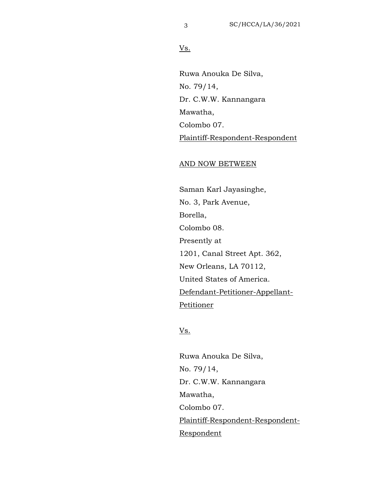## Vs.

Ruwa Anouka De Silva, No. 79/14, Dr. C.W.W. Kannangara Mawatha, Colombo 07. Plaintiff-Respondent-Respondent

#### AND NOW BETWEEN

Saman Karl Jayasinghe, No. 3, Park Avenue, Borella, Colombo 08. Presently at 1201, Canal Street Apt. 362, New Orleans, LA 70112, United States of America. Defendant-Petitioner-Appellant-Petitioner

### Vs.

Ruwa Anouka De Silva, No. 79/14, Dr. C.W.W. Kannangara Mawatha, Colombo 07. Plaintiff-Respondent-Respondent-Respondent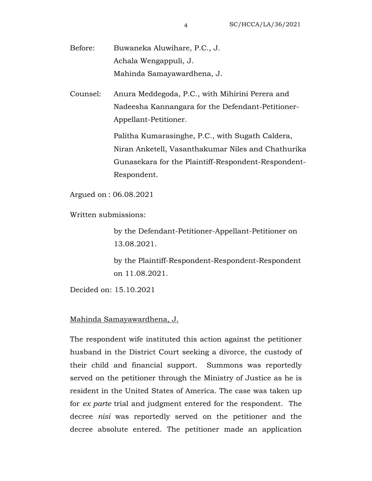Before: Buwaneka Aluwihare, P.C., J. Achala Wengappuli, J. Mahinda Samayawardhena, J.

Counsel: Anura Meddegoda, P.C., with Mihirini Perera and Nadeesha Kannangara for the Defendant-Petitioner-Appellant-Petitioner.

> Palitha Kumarasinghe, P.C., with Sugath Caldera, Niran Anketell, Vasanthakumar Niles and Chathurika Gunasekara for the Plaintiff-Respondent-Respondent-Respondent.

Argued on : 06.08.2021

Written submissions:

by the Defendant-Petitioner-Appellant-Petitioner on 13.08.2021.

by the Plaintiff-Respondent-Respondent-Respondent on 11.08.2021.

Decided on: 15.10.2021

### Mahinda Samayawardhena, J.

The respondent wife instituted this action against the petitioner husband in the District Court seeking a divorce, the custody of their child and financial support. Summons was reportedly served on the petitioner through the Ministry of Justice as he is resident in the United States of America. The case was taken up for *ex parte* trial and judgment entered for the respondent. The decree *nisi* was reportedly served on the petitioner and the decree absolute entered. The petitioner made an application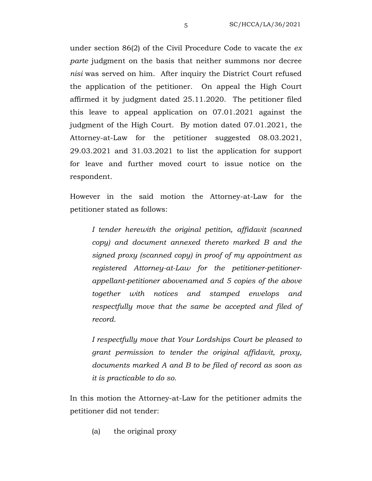under section 86(2) of the Civil Procedure Code to vacate the *ex parte* judgment on the basis that neither summons nor decree *nisi* was served on him. After inquiry the District Court refused the application of the petitioner. On appeal the High Court affirmed it by judgment dated 25.11.2020. The petitioner filed this leave to appeal application on 07.01.2021 against the judgment of the High Court. By motion dated 07.01.2021, the Attorney-at-Law for the petitioner suggested 08.03.2021, 29.03.2021 and 31.03.2021 to list the application for support for leave and further moved court to issue notice on the respondent.

However in the said motion the Attorney-at-Law for the petitioner stated as follows:

*I tender herewith the original petition, affidavit (scanned copy) and document annexed thereto marked B and the signed proxy (scanned copy) in proof of my appointment as registered Attorney-at-Law for the petitioner-petitionerappellant-petitioner abovenamed and 5 copies of the above together with notices and stamped envelops and respectfully move that the same be accepted and filed of record.*

*I respectfully move that Your Lordships Court be pleased to grant permission to tender the original affidavit, proxy, documents marked A and B to be filed of record as soon as it is practicable to do so.*

In this motion the Attorney-at-Law for the petitioner admits the petitioner did not tender:

(a) the original proxy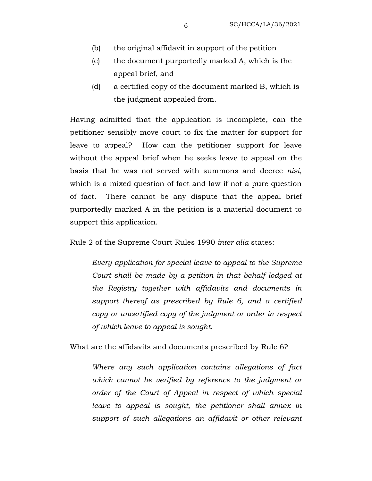- (b) the original affidavit in support of the petition
- (c) the document purportedly marked A, which is the appeal brief, and
- (d) a certified copy of the document marked B, which is the judgment appealed from.

Having admitted that the application is incomplete, can the petitioner sensibly move court to fix the matter for support for leave to appeal? How can the petitioner support for leave without the appeal brief when he seeks leave to appeal on the basis that he was not served with summons and decree *nisi*, which is a mixed question of fact and law if not a pure question of fact. There cannot be any dispute that the appeal brief purportedly marked A in the petition is a material document to support this application.

Rule 2 of the Supreme Court Rules 1990 *inter alia* states:

*Every application for special leave to appeal to the Supreme Court shall be made by a petition in that behalf lodged at the Registry together with affidavits and documents in support thereof as prescribed by Rule 6, and a certified copy or uncertified copy of the judgment or order in respect of which leave to appeal is sought.* 

What are the affidavits and documents prescribed by Rule 6?

*Where any such application contains allegations of fact which cannot be verified by reference to the judgment or order of the Court of Appeal in respect of which special leave to appeal is sought, the petitioner shall annex in support of such allegations an affidavit or other relevant*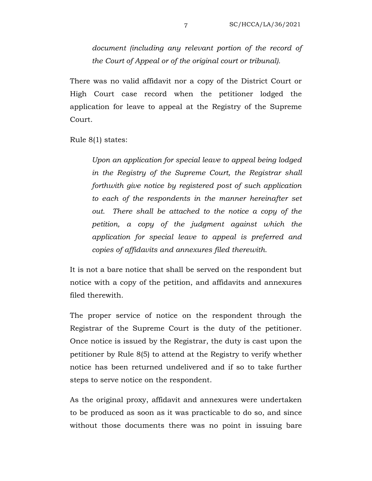*document (including any relevant portion of the record of the Court of Appeal or of the original court or tribunal).* 

There was no valid affidavit nor a copy of the District Court or High Court case record when the petitioner lodged the application for leave to appeal at the Registry of the Supreme Court.

Rule 8(1) states:

*Upon an application for special leave to appeal being lodged in the Registry of the Supreme Court, the Registrar shall forthwith give notice by registered post of such application to each of the respondents in the manner hereinafter set out. There shall be attached to the notice a copy of the petition, a copy of the judgment against which the application for special leave to appeal is preferred and copies of affidavits and annexures filed therewith.* 

It is not a bare notice that shall be served on the respondent but notice with a copy of the petition, and affidavits and annexures filed therewith.

The proper service of notice on the respondent through the Registrar of the Supreme Court is the duty of the petitioner. Once notice is issued by the Registrar, the duty is cast upon the petitioner by Rule 8(5) to attend at the Registry to verify whether notice has been returned undelivered and if so to take further steps to serve notice on the respondent.

As the original proxy, affidavit and annexures were undertaken to be produced as soon as it was practicable to do so, and since without those documents there was no point in issuing bare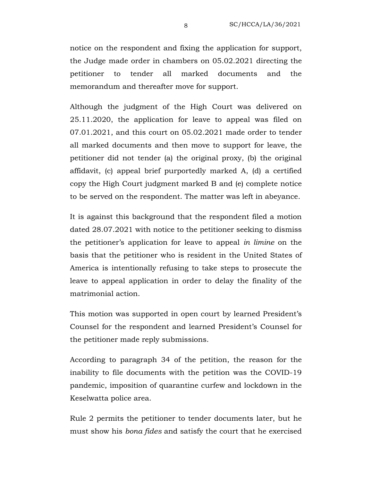notice on the respondent and fixing the application for support, the Judge made order in chambers on 05.02.2021 directing the petitioner to tender all marked documents and the memorandum and thereafter move for support.

Although the judgment of the High Court was delivered on 25.11.2020, the application for leave to appeal was filed on 07.01.2021, and this court on 05.02.2021 made order to tender all marked documents and then move to support for leave, the petitioner did not tender (a) the original proxy, (b) the original affidavit, (c) appeal brief purportedly marked A, (d) a certified copy the High Court judgment marked B and (e) complete notice to be served on the respondent. The matter was left in abeyance.

It is against this background that the respondent filed a motion dated 28.07.2021 with notice to the petitioner seeking to dismiss the petitioner's application for leave to appeal *in limine* on the basis that the petitioner who is resident in the United States of America is intentionally refusing to take steps to prosecute the leave to appeal application in order to delay the finality of the matrimonial action.

This motion was supported in open court by learned President's Counsel for the respondent and learned President's Counsel for the petitioner made reply submissions.

According to paragraph 34 of the petition, the reason for the inability to file documents with the petition was the COVID-19 pandemic, imposition of quarantine curfew and lockdown in the Keselwatta police area.

Rule 2 permits the petitioner to tender documents later, but he must show his *bona fides* and satisfy the court that he exercised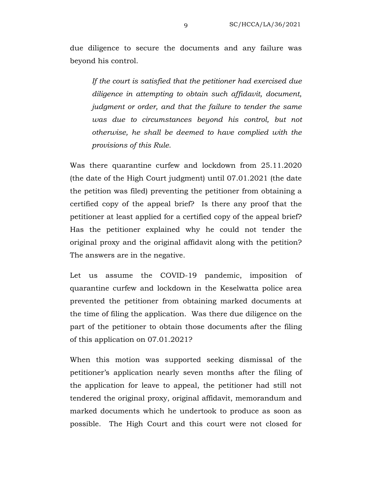due diligence to secure the documents and any failure was beyond his control.

*If the court is satisfied that the petitioner had exercised due diligence in attempting to obtain such affidavit, document, judgment or order, and that the failure to tender the same was due to circumstances beyond his control, but not otherwise, he shall be deemed to have complied with the provisions of this Rule.*

Was there quarantine curfew and lockdown from 25.11.2020 (the date of the High Court judgment) until 07.01.2021 (the date the petition was filed) preventing the petitioner from obtaining a certified copy of the appeal brief? Is there any proof that the petitioner at least applied for a certified copy of the appeal brief? Has the petitioner explained why he could not tender the original proxy and the original affidavit along with the petition? The answers are in the negative.

Let us assume the COVID-19 pandemic, imposition of quarantine curfew and lockdown in the Keselwatta police area prevented the petitioner from obtaining marked documents at the time of filing the application. Was there due diligence on the part of the petitioner to obtain those documents after the filing of this application on 07.01.2021?

When this motion was supported seeking dismissal of the petitioner's application nearly seven months after the filing of the application for leave to appeal, the petitioner had still not tendered the original proxy, original affidavit, memorandum and marked documents which he undertook to produce as soon as possible. The High Court and this court were not closed for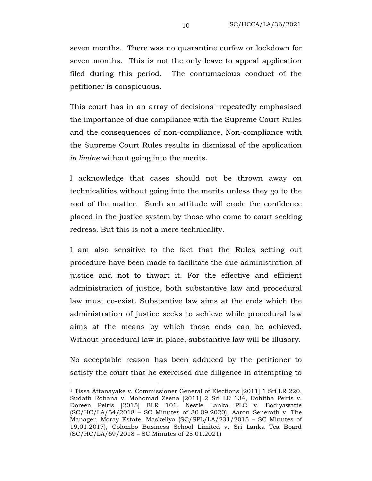seven months. There was no quarantine curfew or lockdown for seven months. This is not the only leave to appeal application filed during this period. The contumacious conduct of the petitioner is conspicuous.

This court has in an array of decisions<sup>1</sup> repeatedly emphasised the importance of due compliance with the Supreme Court Rules and the consequences of non-compliance. Non-compliance with the Supreme Court Rules results in dismissal of the application *in limine* without going into the merits.

I acknowledge that cases should not be thrown away on technicalities without going into the merits unless they go to the root of the matter. Such an attitude will erode the confidence placed in the justice system by those who come to court seeking redress. But this is not a mere technicality.

I am also sensitive to the fact that the Rules setting out procedure have been made to facilitate the due administration of justice and not to thwart it. For the effective and efficient administration of justice, both substantive law and procedural law must co-exist. Substantive law aims at the ends which the administration of justice seeks to achieve while procedural law aims at the means by which those ends can be achieved. Without procedural law in place, substantive law will be illusory.

No acceptable reason has been adduced by the petitioner to satisfy the court that he exercised due diligence in attempting to

<sup>1</sup> Tissa Attanayake v. Commissioner General of Elections [2011] 1 Sri LR 220, Sudath Rohana v. Mohomad Zeena [2011] 2 Sri LR 134, Rohitha Peiris v. Doreen Peiris [2015] BLR 101, Nestle Lanka PLC v. Bodiyawatte (SC/HC/LA/54/2018 – SC Minutes of 30.09.2020), Aaron Senerath v. The Manager, Moray Estate, Maskeliya (SC/SPL/LA/231/2015 – SC Minutes of 19.01.2017), Colombo Business School Limited v. Sri Lanka Tea Board (SC/HC/LA/69/2018 – SC Minutes of 25.01.2021)